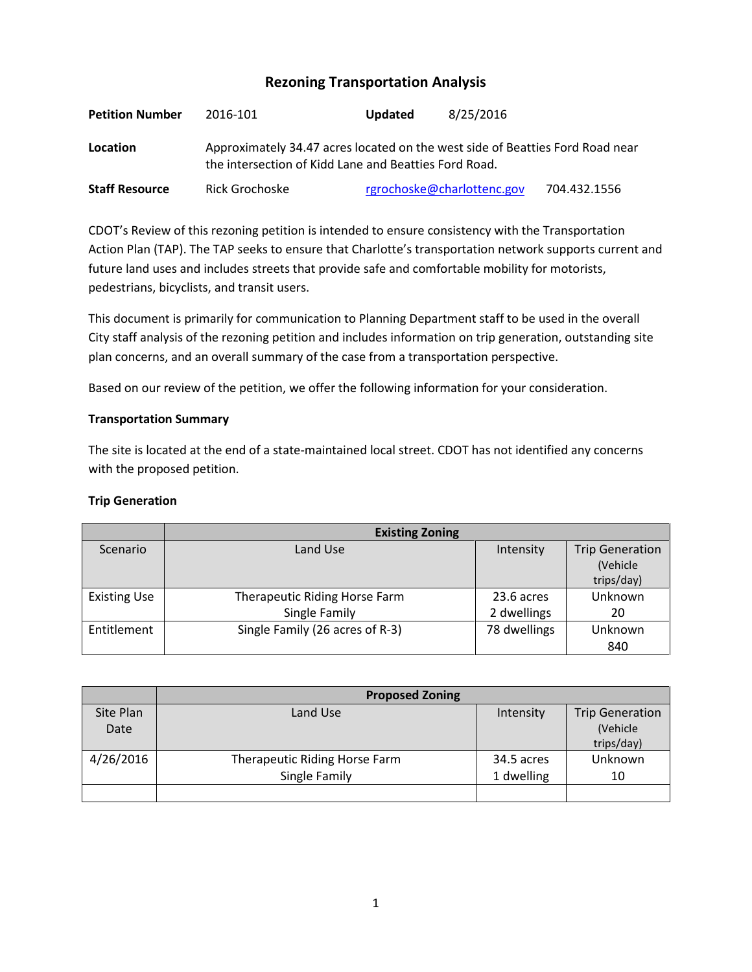# **Rezoning Transportation Analysis**

| <b>Petition Number</b> | 2016-101                                                                                                                               | <b>Updated</b> | 8/25/2016                  |              |  |
|------------------------|----------------------------------------------------------------------------------------------------------------------------------------|----------------|----------------------------|--------------|--|
| Location               | Approximately 34.47 acres located on the west side of Beatties Ford Road near<br>the intersection of Kidd Lane and Beatties Ford Road. |                |                            |              |  |
| <b>Staff Resource</b>  | Rick Grochoske                                                                                                                         |                | rgrochoske@charlottenc.gov | 704.432.1556 |  |

CDOT's Review of this rezoning petition is intended to ensure consistency with the Transportation Action Plan (TAP). The TAP seeks to ensure that Charlotte's transportation network supports current and future land uses and includes streets that provide safe and comfortable mobility for motorists, pedestrians, bicyclists, and transit users.

This document is primarily for communication to Planning Department staff to be used in the overall City staff analysis of the rezoning petition and includes information on trip generation, outstanding site plan concerns, and an overall summary of the case from a transportation perspective.

Based on our review of the petition, we offer the following information for your consideration.

### **Transportation Summary**

The site is located at the end of a state-maintained local street. CDOT has not identified any concerns with the proposed petition.

## **Trip Generation**

|                     | <b>Existing Zoning</b>          |              |                                                  |  |
|---------------------|---------------------------------|--------------|--------------------------------------------------|--|
| Scenario            | Land Use                        | Intensity    | <b>Trip Generation</b><br>(Vehicle<br>trips/day) |  |
| <b>Existing Use</b> | Therapeutic Riding Horse Farm   | 23.6 acres   | Unknown                                          |  |
|                     | Single Family                   | 2 dwellings  | 20                                               |  |
| Entitlement         | Single Family (26 acres of R-3) | 78 dwellings | Unknown                                          |  |
|                     |                                 |              | 840                                              |  |

|           | <b>Proposed Zoning</b>        |            |                        |  |
|-----------|-------------------------------|------------|------------------------|--|
| Site Plan | Land Use                      | Intensity  | <b>Trip Generation</b> |  |
| Date      |                               |            | (Vehicle               |  |
|           |                               |            | trips/day)             |  |
| 4/26/2016 | Therapeutic Riding Horse Farm | 34.5 acres | Unknown                |  |
|           | Single Family                 | 1 dwelling | 10                     |  |
|           |                               |            |                        |  |